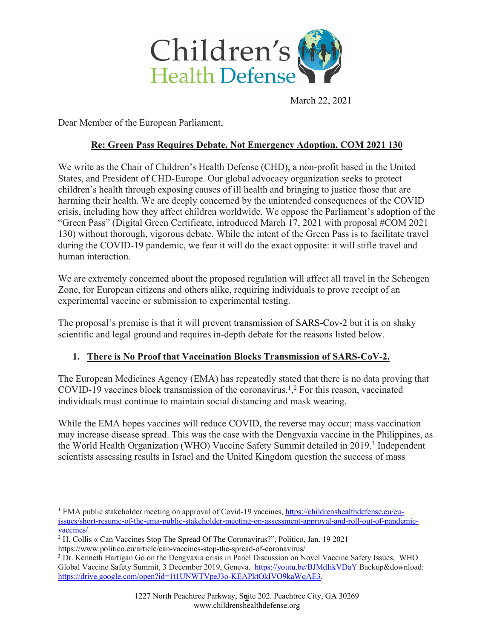

March 22, 2021

Dear Member of the European Parliament,

### **Re: Green Pass Requires Debate, Not Emergency Adoption, COM 2021 130**

We write as the Chair of Children's Health Defense (CHD), a non-profit based in the United States, and President of CHD-Europe. Our global advocacy organization seeks to protect children's health through exposing causes of ill health and bringing to justice those that are harming their health. We are deeply concerned by the unintended consequences of the COVID crisis, including how they affect children worldwide. We oppose the Parliament's adoption of the "Green Pass" (Digital Green Certificate, introduced March 17, 2021 with proposal #COM 2021 130) without thorough, vigorous debate. While the intent of the Green Pass is to facilitate travel during the COVID-19 pandemic, we fear it will do the exact opposite: it will stifle travel and human interaction.

We are extremely concerned about the proposed regulation will affect all travel in the Schengen Zone, for European citizens and others alike, requiring individuals to prove receipt of an experimental vaccine or submission to experimental testing.

The proposal's premise is that it will prevent transmission of SARS-Cov-2 but it is on shaky scientific and legal ground and requires in-depth debate for the reasons listed below.

### **1. There is No Proof that Vaccination Blocks Transmission of SARS-CoV-2.**

The European Medicines Agency (EMA) has repeatedly stated that there is no data proving that COVID-19 vaccines block transmission of the coronavirus.<sup>1</sup>,<sup>2</sup> For this reason, vaccinated individuals must continue to maintain social distancing and mask wearing.

While the EMA hopes vaccines will reduce COVID, the reverse may occur; mass vaccination may increase disease spread. This was the case with the Dengvaxia vaccine in the Philippines, as the World Health Organization (WHO) Vaccine Safety Summit detailed in 2019. <sup>3</sup> Independent scientists assessing results in Israel and the United Kingdom question the success of mass

<sup>&</sup>lt;sup>1</sup> EMA public stakeholder meeting on approval of Covid-19 vaccines, https://childrenshealthdefense.eu/euissues/short-resume-of-the-ema-public-stakeholder-meeting-on-assessment-approval-and-roll-out-of-pandemicvaccines/.

<sup>2</sup> H. Collis « Can Vaccines Stop The Spread Of The Coronavirus?", Politico, Jan. 19 2021 https://www.politico.eu/article/can-vaccines-stop-the-spread-of-coronavirus/

<sup>3</sup> Dr. Kenneth Hartigan Go on the Dengvaxia crisis in Panel Discussion on Novel Vaccine Safety Issues, WHO Global Vaccine Safety Summit, 3 December 2019, Geneva. https://youtu.be/BJMdIikVDaY Backup&download: https://drive.google.com/open?id=1t1UNWTVpeJ3o-KEAPktOkIVO9kaWqAE3.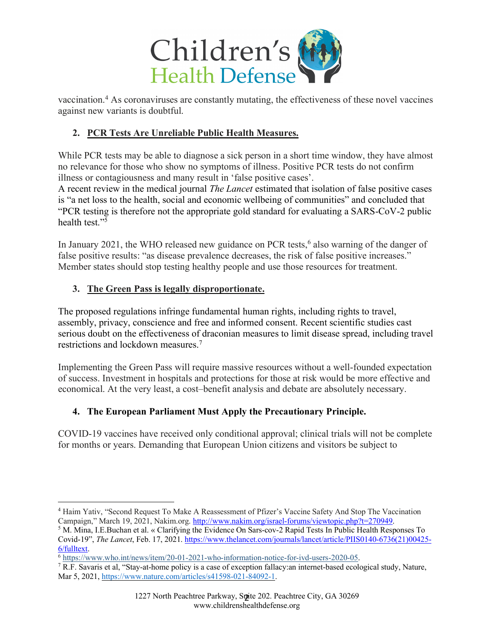

vaccination.4 As coronaviruses are constantly mutating, the effectiveness of these novel vaccines against new variants is doubtful.

## **2. PCR Tests Are Unreliable Public Health Measures.**

While PCR tests may be able to diagnose a sick person in a short time window, they have almost no relevance for those who show no symptoms of illness. Positive PCR tests do not confirm illness or contagiousness and many result in 'false positive cases'.

A recent review in the medical journal *The Lancet* estimated that isolation of false positive cases is "a net loss to the health, social and economic wellbeing of communities" and concluded that "PCR testing is therefore not the appropriate gold standard for evaluating a SARS-CoV-2 public health test."5

In January 2021, the WHO released new guidance on PCR tests,<sup>6</sup> also warning of the danger of false positive results: "as disease prevalence decreases, the risk of false positive increases." Member states should stop testing healthy people and use those resources for treatment.

## **3. The Green Pass is legally disproportionate.**

The proposed regulations infringe fundamental human rights, including rights to travel, assembly, privacy, conscience and free and informed consent. Recent scientific studies cast serious doubt on the effectiveness of draconian measures to limit disease spread, including travel restrictions and lockdown measures.7

Implementing the Green Pass will require massive resources without a well-founded expectation of success. Investment in hospitals and protections for those at risk would be more effective and economical. At the very least, a cost–benefit analysis and debate are absolutely necessary.

# **4. The European Parliament Must Apply the Precautionary Principle.**

COVID-19 vaccines have received only conditional approval; clinical trials will not be complete for months or years. Demanding that European Union citizens and visitors be subject to

<sup>4</sup> Haim Yativ, "Second Request To Make A Reassessment of Pfizer's Vaccine Safety And Stop The Vaccination Campaign," March 19, 2021, Nakim.org. http://www.nakim.org/israel-forums/viewtopic.php?t=270949.

<sup>5</sup> M. Mina, I.E.Buchan et al. « Clarifying the Evidence On Sars-cov-2 Rapid Tests In Public Health Responses To Covid-19", *The Lancet*, Feb. 17, 2021. https://www.thelancet.com/journals/lancet/article/PIIS0140-6736(21)00425- 6/fulltext.

<sup>6</sup> https://www.who.int/news/item/20-01-2021-who-information-notice-for-ivd-users-2020-05.

<sup>7</sup> R.F. Savaris et al, "Stay-at-home policy is a case of exception fallacy:an internet-based ecological study, Nature, Mar 5, 2021, https://www.nature.com/articles/s41598-021-84092-1.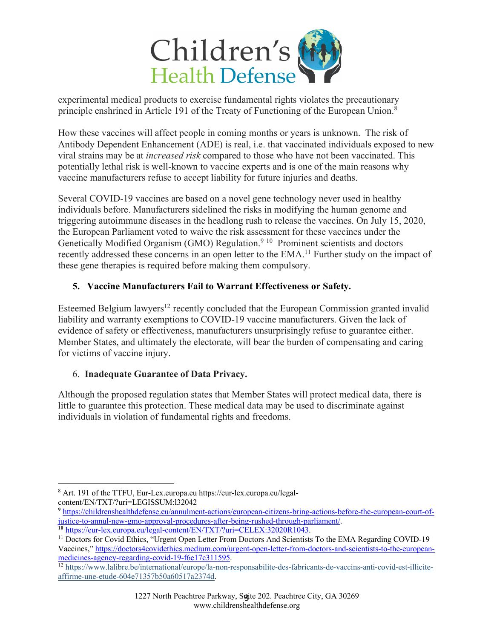

experimental medical products to exercise fundamental rights violates the precautionary principle enshrined in Article 191 of the Treaty of Functioning of the European Union.8

How these vaccines will affect people in coming months or years is unknown. The risk of Antibody Dependent Enhancement (ADE) is real, i.e. that vaccinated individuals exposed to new viral strains may be at *increased risk* compared to those who have not been vaccinated. This potentially lethal risk is well-known to vaccine experts and is one of the main reasons why vaccine manufacturers refuse to accept liability for future injuries and deaths.

Several COVID-19 vaccines are based on a novel gene technology never used in healthy individuals before. Manufacturers sidelined the risks in modifying the human genome and triggering autoimmune diseases in the headlong rush to release the vaccines. On July 15, 2020, the European Parliament voted to waive the risk assessment for these vaccines under the Genetically Modified Organism (GMO) Regulation.<sup>9 10</sup> Prominent scientists and doctors recently addressed these concerns in an open letter to the EMA.<sup>11</sup> Further study on the impact of these gene therapies is required before making them compulsory.

## **5. Vaccine Manufacturers Fail to Warrant Effectiveness or Safety.**

Esteemed Belgium lawyers<sup>12</sup> recently concluded that the European Commission granted invalid liability and warranty exemptions to COVID-19 vaccine manufacturers. Given the lack of evidence of safety or effectiveness, manufacturers unsurprisingly refuse to guarantee either. Member States, and ultimately the electorate, will bear the burden of compensating and caring for victims of vaccine injury.

### 6. **Inadequate Guarantee of Data Privacy.**

Although the proposed regulation states that Member States will protect medical data, there is little to guarantee this protection. These medical data may be used to discriminate against individuals in violation of fundamental rights and freedoms.

<sup>8</sup> Art. 191 of the TTFU, Eur-Lex.europa.eu https://eur-lex.europa.eu/legalcontent/EN/TXT/?uri=LEGISSUM:l32042

**<sup>9</sup>** https://childrenshealthdefense.eu/annulment-actions/european-citizens-bring-actions-before-the-european-court-ofjustice-to-annul-new-gmo-approval-procedures-after-being-rushed-through-parliament/. **<sup>10</sup>** https://eur-lex.europa.eu/legal-content/EN/TXT/?uri=CELEX:32020R1043.

<sup>&</sup>lt;sup>11</sup> Doctors for Covid Ethics, "Urgent Open Letter From Doctors And Scientists To the EMA Regarding COVID-19 Vaccines," https://doctors4covidethics.medium.com/urgent-open-letter-from-doctors-and-scientists-to-the-europeanmedicines-agency-regarding-covid-19-f6e17c311595.

<sup>&</sup>lt;sup>12</sup> https://www.lalibre.be/international/europe/la-non-responsabilite-des-fabricants-de-vaccins-anti-covid-est-illiciteaffirme-une-etude-604e71357b50a60517a2374d.